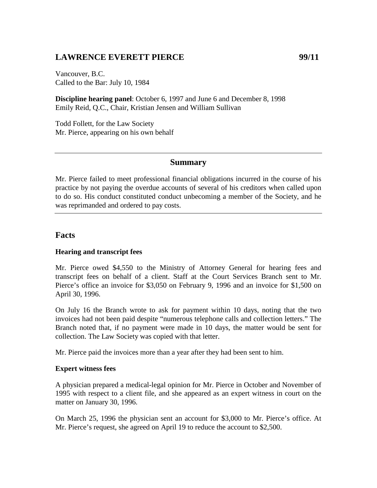# **LAWRENCE EVERETT PIERCE 99/11**

Vancouver, B.C. Called to the Bar: July 10, 1984

**Discipline hearing panel**: October 6, 1997 and June 6 and December 8, 1998 Emily Reid, Q.C., Chair, Kristian Jensen and William Sullivan

Todd Follett, for the Law Society Mr. Pierce, appearing on his own behalf

### **Summary**

Mr. Pierce failed to meet professional financial obligations incurred in the course of his practice by not paying the overdue accounts of several of his creditors when called upon to do so. His conduct constituted conduct unbecoming a member of the Society, and he was reprimanded and ordered to pay costs.

### **Facts**

#### **Hearing and transcript fees**

Mr. Pierce owed \$4,550 to the Ministry of Attorney General for hearing fees and transcript fees on behalf of a client. Staff at the Court Services Branch sent to Mr. Pierce's office an invoice for \$3,050 on February 9, 1996 and an invoice for \$1,500 on April 30, 1996.

On July 16 the Branch wrote to ask for payment within 10 days, noting that the two invoices had not been paid despite "numerous telephone calls and collection letters." The Branch noted that, if no payment were made in 10 days, the matter would be sent for collection. The Law Society was copied with that letter.

Mr. Pierce paid the invoices more than a year after they had been sent to him.

#### **Expert witness fees**

A physician prepared a medical-legal opinion for Mr. Pierce in October and November of 1995 with respect to a client file, and she appeared as an expert witness in court on the matter on January 30, 1996.

On March 25, 1996 the physician sent an account for \$3,000 to Mr. Pierce's office. At Mr. Pierce's request, she agreed on April 19 to reduce the account to \$2,500.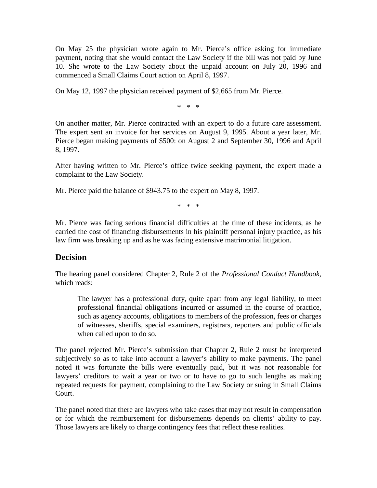On May 25 the physician wrote again to Mr. Pierce's office asking for immediate payment, noting that she would contact the Law Society if the bill was not paid by June 10. She wrote to the Law Society about the unpaid account on July 20, 1996 and commenced a Small Claims Court action on April 8, 1997.

On May 12, 1997 the physician received payment of \$2,665 from Mr. Pierce.

\* \* \*

On another matter, Mr. Pierce contracted with an expert to do a future care assessment. The expert sent an invoice for her services on August 9, 1995. About a year later, Mr. Pierce began making payments of \$500: on August 2 and September 30, 1996 and April 8, 1997.

After having written to Mr. Pierce's office twice seeking payment, the expert made a complaint to the Law Society.

Mr. Pierce paid the balance of \$943.75 to the expert on May 8, 1997.

\* \* \*

Mr. Pierce was facing serious financial difficulties at the time of these incidents, as he carried the cost of financing disbursements in his plaintiff personal injury practice, as his law firm was breaking up and as he was facing extensive matrimonial litigation.

### **Decision**

The hearing panel considered Chapter 2, Rule 2 of the *Professional Conduct Handbook*, which reads:

The lawyer has a professional duty, quite apart from any legal liability, to meet professional financial obligations incurred or assumed in the course of practice, such as agency accounts, obligations to members of the profession, fees or charges of witnesses, sheriffs, special examiners, registrars, reporters and public officials when called upon to do so.

The panel rejected Mr. Pierce's submission that Chapter 2, Rule 2 must be interpreted subjectively so as to take into account a lawyer's ability to make payments. The panel noted it was fortunate the bills were eventually paid, but it was not reasonable for lawyers' creditors to wait a year or two or to have to go to such lengths as making repeated requests for payment, complaining to the Law Society or suing in Small Claims Court.

The panel noted that there are lawyers who take cases that may not result in compensation or for which the reimbursement for disbursements depends on clients' ability to pay. Those lawyers are likely to charge contingency fees that reflect these realities.